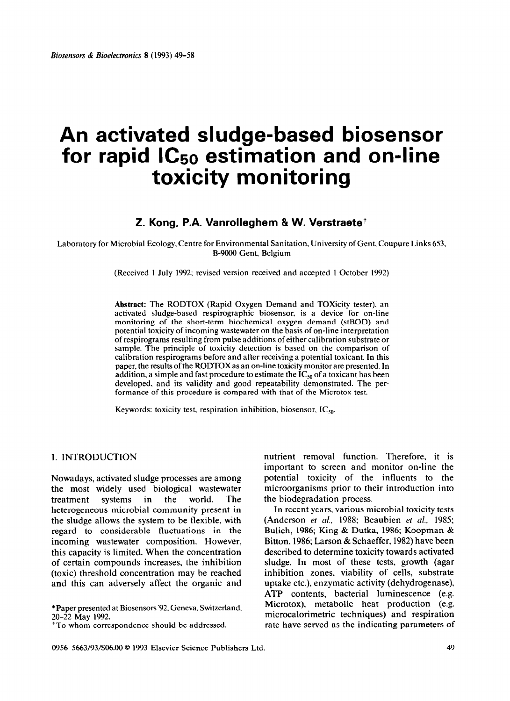# **An activated sludge-based biosensor for rapid lC50 estimation and on-line toxicity monitoring**

# **Z. Kong, P.A. Vanrolleghem & W. Verstraetet**

Laboratory for Microbial Ecology, Centre for Environmental Sanitation, University of Gent, Coupure Links 653, B-9000 Gent, Belgium

(Received 1 July 1992; revised version received and accepted 1 October 1992)

**Abstract:** The RODTOX (Rapid Oxygen Demand and Toxicity tester). an activated sludge-based respirographic biosensor, is a device for on-line monitoring of the short-term biochemical oxygen demand (stBOD) and potential toxicity of incoming wastewater on the basis of on-line interpretation of respirograms resulting from pulse additions of either calibration substrate or sample. The principle of toxicity detection is based on the comparison of calibration respirograms before and after receiving a potential toxicant. In this paper, the results of the RODTOX as an on-line toxicity monitor are presented. In addition, a simple and fast procedure to estimate the  $IC_{50}$  of a toxicant has been developed, and its validity and good repeatability demonstrated. The performance of this procedure is compared with that of the Microtox test.

Keywords: toxicity test. respiration inhibition, biosensor,  $IC_{50}$ .

#### 1. INTRODUCTION

Nowadays, activated sludge processes are among the most widely used biological wastewater treatment systems in the world. The heterogeneous microbial community present in the sludge allows the system to be flexible, with regard to considerable fluctuations in the incoming wastewater composition. However, this capacity is limited. When the concentration of certain compounds increases, the inhibition (toxic) threshold concentration may be reached and this can adversely affect the organic and

\*Paper presented at Biosensors P2, Geneva. Switzerland, 20-22 May 1992.

<sup>†</sup>To whom correspondence should be addressed.

nutrient removal function. Therefore, it is important to screen and monitor on-line the potential toxicity of the influents to the microorganisms prior to their introduction into the biodegradation process.

In recent years, various microbial toxicity tests (Anderson et *al.,* 1988; Beaubien ef *al..* 1985; Bulich, 1986; King & Dutka, 1986; Koopman & Bitton, 1986; Larson & Schaeffer, 1982) have been described to determine toxicity towards activated sludge. In most of these tests, growth (agar inhibition zones, viability of cells, substrate uptake etc.), enzymatic activity (dehydrogenase), ATP contents, bacterial luminescence (e.g. Microtox), metabolic heat production (e.g. microcalorimetric techniques) and respiration rate have served as the indicating parameters of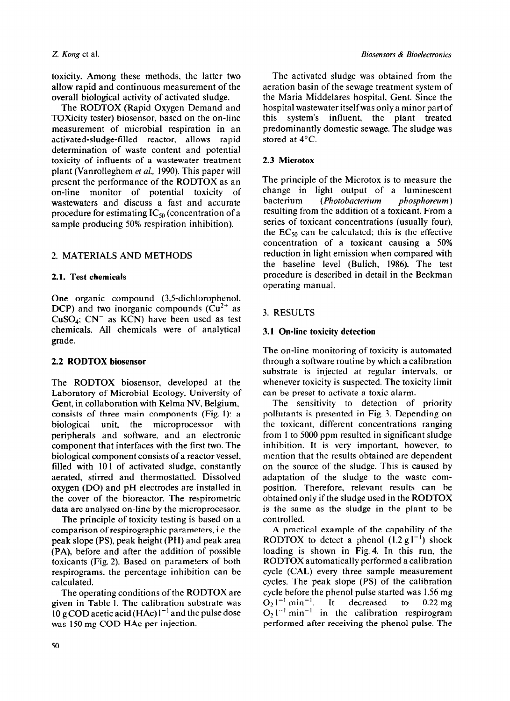toxicity. Among these methods, the latter two allow rapid and continuous measurement of the overall biological activity of activated sludge.

The RODTOX (Rapid Oxygen Demand and Toxicity tester) biosensor, based on the on-line measurement of microbial respiration in an activated-sludge-filled reactor, allows rapid determination of waste content and potential toxicity of influents of a wastewater treatment plant (Vanrolleghem et al., 1990). This paper will present the performance of the RODTOX as an on-line monitor of potential toxicity of wastewaters and discuss a fast and accurate procedure for estimating  $IC_{50}$  (concentration of a sample producing 50% respiration inhibition).

## 2. MATERIALS AND METHODS

#### 2.1. Test chemicals

One organic compound (3,5-dichlorophenol, DCP) and two inorganic compounds  $(Cu^{2+})$  as CuSO<sub>4</sub>;  $CN^-$  as KCN) have been used as test chemicals. All chemicals were of analytical grade.

#### 2.2 **RODTOX** biosensor

The RODTOX biosensor, developed at the Laboratory of Microbial Ecology, University of Gent, in collaboration with Kelma NV, Belgium, consists of three main components (Fig. 1): a biological unit, the microprocessor with peripherals and software, and an electronic component that interfaces with the first two. The biological component consists of a reactor vessel. filled with 101 of activated sludge, constantly aerated, stirred and thermostatted. Dissolved oxygen (DO) and pH electrodes are installed in the cover of the bioreactor. The respirometric data are analysed on-line by the microprocessor.

The principle of toxicity testing is based on a comparison of respirographic parameters, i.e. the peak slope (PS), peak height (PH) and peak area (PA), before and after the addition of possible toxicants (Fig. 2). Based on parameters of both respirograms, the percentage inhibition can be calculated.

The operating conditions of the RODTOX are given in Table 1. The calibration substrate was 10 g COD acetic acid (HAc)  $1^{-1}$  and the pulse dose was 150 mg COD HAc per injection.

The activated sludge was obtained from the aeration basin of the sewage treatment system of the Maria Middelares hospital, Gent. Since the hospital wastewater itself was only a minor part of this system's influent, the plant treated predominantly domestic sewage. The sludge was stored at 4°C.

#### 2.3 Microtox

The principle of the Microtox is to measure the change in light output of a luminescent bacterium *(Photobacterium phosphoreum)*  resulting from the addition of a toxicant. From a series of toxicant concentrations (usually four), the  $EC_{50}$  can be calculated; this is the effective concentration of a toxicant causing a 50% reduction in light emission when compared with the baseline level (Bulich, 1986). The test procedure is described in detail in the Beckman operating manual.

# 3. RESULTS

## 3.1 **On-line toxicity detection**

The on-line monitoring of toxicity is automated through a software routine by which a calibration substrate is injected at regular intervals, or whenever toxicity is suspected. The toxicity limit can be preset to activate a toxic alarm.

The sensitivity to detection of priority pollutants is presented in Fig. 3. Depending on the toxicant, different concentrations ranging from 1 to 5000 ppm resulted in significant sludge inhibition. It is very important, however, to mention that the results obtained are dependent on the source of the sludge. This is caused by adaptation of the sludge to the waste composition. Therefore, relevant results can be obtained only if the sludge used in the RODTOX is the same as the sludge in the plant to be controlled.

A practical example of the capability of the RODTOX to detect a phenol  $(1.2 \text{ g1}^{-1})$  shock loading is shown in Fig. 4. In this run, the RODTOX automatically performed a calibration cycle (CAL) every three sample measurement cycles. The peak slope (PS) of the calibration cycle before the phenol pulse started was 1.56 mg  $O_2 1^{-1}$  min<sup>-1</sup>. It decreased to 0.22 mg  $O_2$   $1^{-1}$  min<sup>-1</sup> in the calibration respirogram performed after receiving the phenol pulse. The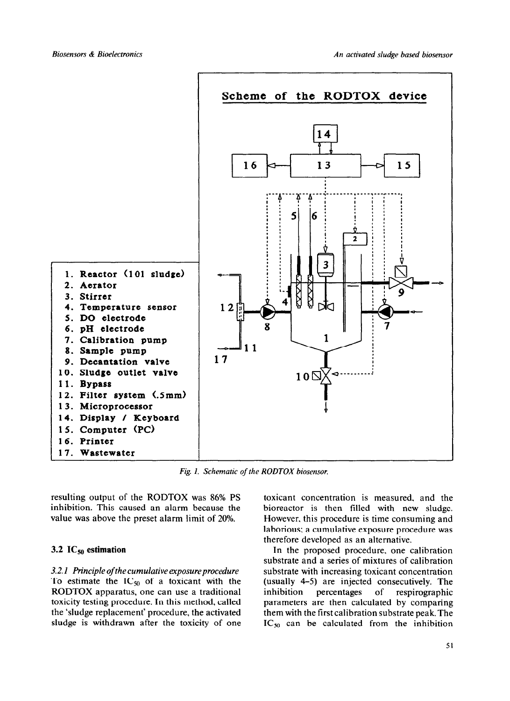

*Fig. I. Schematic of the RODTOX biosensor.* 

resulting output of the RODTOX was 86% PS inhibition. This caused an alarm because the value was above the preset alarm limit of 20%.

#### 3.2  $IC_{50}$  estimation

3.2.1 *Principle of the cumulative* exposure procedure To estimate the  $IC_{50}$  of a toxicant with the RODTOX apparatus, one can use a traditional toxicity testing procedure. In this method, called the 'sludge replacement' procedure, the activated sludge is withdrawn after the toxicity of one toxicant concentration is measured. and the bioreactor is then tilled with new sludge. However, this procedure is time consuming and laborious: a cumulative exposure procedure was therefore developed as an alternative.

In the proposed procedure, one calibration substrate and a series of mixtures of calibration substrate with increasing toxicant concentration (usually 4-5) are injected consecutively. The inhibition percentages of respirographic parameters are then calculated by comparing them with the first calibration substrate peak. The  $IC_{50}$  can be calculated from the inhibition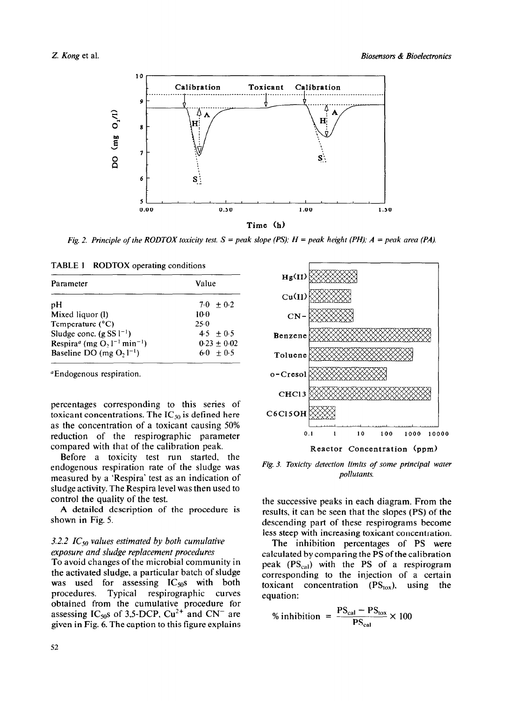

Fig. 2. Principle of the RODTOX toxicity test.  $S = peak$  slope (PS);  $H = peak$  height (PH);  $A = peak$  area (PA).

| TABLE 1 RODTOX operating conditions |  |  |
|-------------------------------------|--|--|
|-------------------------------------|--|--|

| Parameter                                                            | Value         |
|----------------------------------------------------------------------|---------------|
| pH                                                                   | $7.0 + 0.2$   |
| Mixed liquor (1)                                                     | $10-0$        |
| Temperature $(^{\circ}C)$                                            | 25.0          |
| Sludge conc. $(g SS l^{-1})$                                         | $4.5 + 0.5$   |
| Respira <sup>a</sup> (mg O <sub>2</sub> $1^{-1}$ min <sup>-1</sup> ) | $0.23 + 0.02$ |
| Baseline DO (mg $O_2 l^{-1}$ )                                       | $6.0 + 0.5$   |

<sup>a</sup>Endogenous respiration.

percentages corresponding to this series of toxicant concentrations. The  $IC_{50}$  is defined here as the concentration of a toxicant causing 50% reduction of the respirographic parameter compared with that of the calibration peak.

Before a toxicity test run started, the endogenous respiration rate of the sludge was measured by a 'Respira' test as an indication of sludge activity. The Respira level was then used to control the quality of the test.

A detailed description of the procedure is shown in Fig. 5.

# 3.2.2 IC<sub>50</sub> values estimated by both cumulative exposure and sludge replacement procedures

To avoid changes of the microbial community in the activated sludge, a particular batch of sludge was used for assessing  $IC_{50}$ s with both procedures. Typical respirographic curves obtained from the cumulative procedure for<br>assessing  $IC_{50}$ s of 3,5-DCP,  $Cu^{2+}$  and  $CN^{-}$  are given in Fig. 6. The caption to this figure explains



Fig. 3. Toxicity detection limits of some principal water pollutants.

the successive peaks in each diagram. From the results, it can be seen that the slopes (PS) of the descending part of these respirograms become less steep with increasing toxicant concentration.

The inhibition percentages of PS were calculated by comparing the PS of the calibration peak (PS<sub>cal</sub>) with the PS of a respirogram corresponding to the injection of a certain toxicant concentration  $(PS_{\text{tox}})$ , using the equation:

$$
\% inhibition = \frac{PS_{cal} - PS_{tox}}{PS_{cal}} \times 100
$$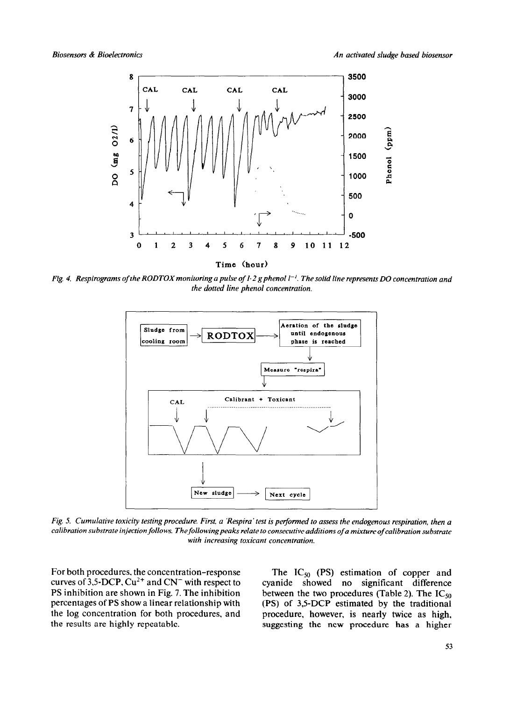

Time (hour)

Fig. 4. Respirograms of the RODTOX monitoring a pulse of  $1.2$  g phenol  $1^{-1}$ . The solid line represents DO concentration and the dotted line phenol concentration.



Fig. 5. Cumulative toxicity testing procedure. First, a 'Respira' test is performed to assess the endogenous respiration, then a calibration substrate injection follows. The following peaks relate to consecutive additions of a mixture of calibration substrate with increasing toxicant concentration.

For both procedures, the concentration-response curves of 3,5-DCP,  $Cu^{2+}$  and CN<sup>-</sup> with respect to PS inhibition are shown in Fig. 7. The inhibition percentages of PS show a linear relationship with the log concentration for both procedures, and the results are highly repeatable.

The  $IC_{50}$  (PS) estimation of copper and cyanide showed no significant difference between the two procedures (Table 2). The  $IC_{50}$ (PS) of 3,5-DCP estimated by the traditional procedure, however, is nearly twice as high. suggesting the new procedure has a higher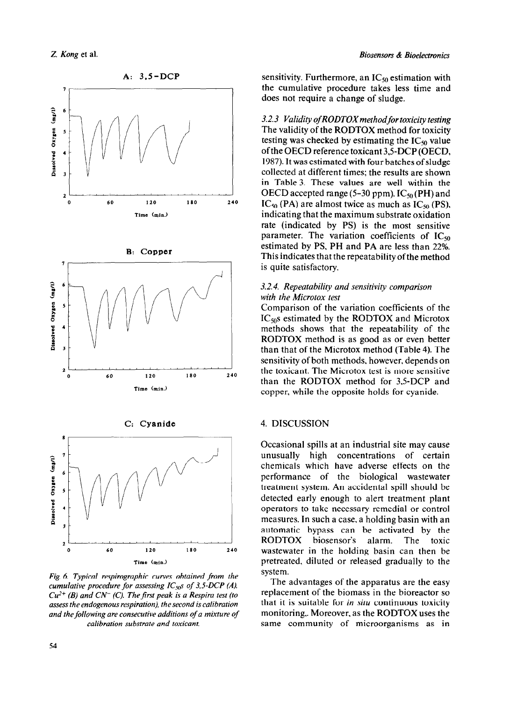

*cumulative procedure for assessing IC<sub>50</sub>s of 3.5-DCP (A). Cu'+ (B) and CN- (C).* The *first peak is a Respira test (to assess the endogenous respiration), the second is calibration and the following are consecutive additions of a mixture of calibration substrate and toxicant.* 

sensitivity. Furthermore, an  $IC_{50}$  estimation with the cumulative procedure takes less time and does not require a change of sludge.

3.2.3 *Validity of RODTOX method for toxicity testing* The validity of the RODTOX method for toxicity testing was checked by estimating the  $IC_{50}$  value ofthe OECD reference toxicant 3,5-DCP (OECD, 1987). It was estimated with four batches of sludge collected at different times; the results are shown in Table 3. These values are well within the OECD accepted range (5–30 ppm).  $IC_{50}$  (PH) and  $IC_{50}$  (PA) are almost twice as much as  $IC_{50}$  (PS), indicating that the maximum substrate oxidation rate (indicated by PS) is the most sensitive parameter. The variation coefficients of  $IC_{50}$ estimated by PS. PH and PA are less than 22%. This indicates that the repeatability of the method is quite satisfactory.

#### 3.2.4. *Repeatability and sensitiviry comparison with the Microtox test*

Comparison of the variation coefficients of the  $IC<sub>50</sub>s$  estimated by the RODTOX and Microtox methods shows that the repeatability of the RODTOX method is as good as or even better than that of the Microtox method (Table 4). The sensitivity of both methods, however, depends on the toxicant. The Microtox test is more sensitive than the RODTOX method for 3,5-DCP and copper, while the opposite holds for cyanide.

Occasional spills at an industrial site may cause unusually high concentrations of certain chemicals which have adverse effects on the performance of the biological wastewater treatment system. An accidental spill should be detected early enough to alert treatment plant operators to take necessary remedial or control measures. In such a case, a holding basin with an automatic bypass can be activated by the RODTOX biosensor's alarm. The toxic wastewater in the holding basin can then be pretreated, diluted or released gradually to the system.

The advantages of the apparatus are the easy replacement of the biomass in the bioreactor so that it is suitable for *in situ* continuous toxicity monitoring,. Moreover. as the RODTOX uses the same community of microorganisms as in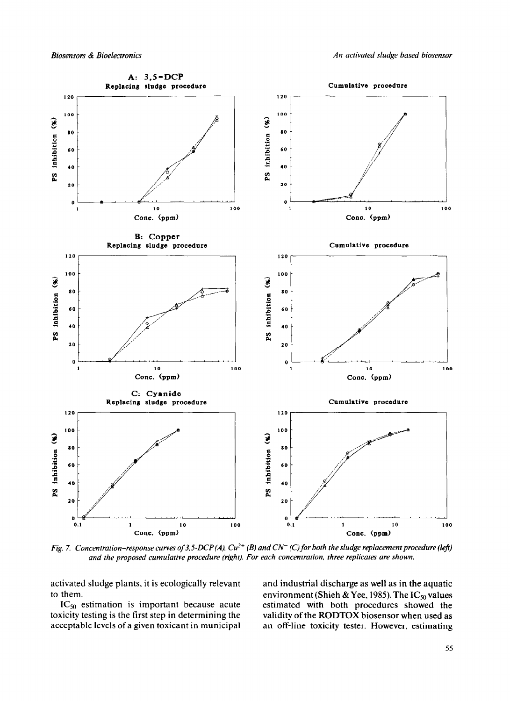

*Fig. 7. Concentration-response curves of 3.5-DCP(A), Cu<sup>2+</sup> (B) and CN<sup>-</sup> (C) for both the sludge replacement procedure (left) and the proposed cumulative procedure (right). For each concentration. three replicates are shown.* 

activated sludge plants, it is ecologically relevant and industrial discharge as well as in the aquatic

toxicity testing is the first step in determining the validity of the RODTOX biosensor when used as acceptable levels of a given toxicant in municipal an off-line toxicity tester. However, estimating acceptable levels of a given toxicant in municipal

to them.<br>IC<sub>50</sub> estimation is important because acute estimated with both procedures showed the estimated with both procedures showed the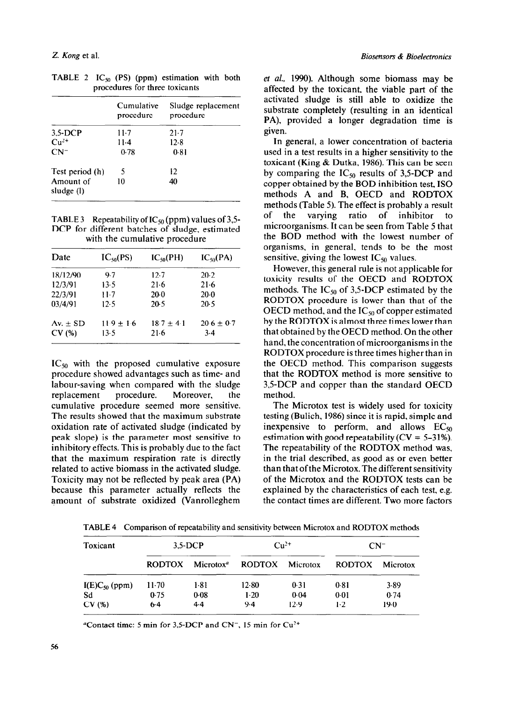|                         | Cumulative<br>procedure | Sludge replacement<br>procedure |
|-------------------------|-------------------------|---------------------------------|
| $3.5 - DCP$             | $11-7$                  | $21-7$                          |
| $Cu2+$                  | $11-4$                  | 12.8                            |
| $CN^-$                  | 0.78                    | 0.81                            |
| Test period (h)         | 5                       | 12                              |
| Amount of<br>sludge (1) | 10                      | 40                              |

TABLE 2  $IC_{50}$  (PS) (ppm) estimation with both procedures for three toxicants

| <b>TABLE 3</b> Repeatability of $IC_{50}$ (ppm) values of 3,5- |
|----------------------------------------------------------------|
| DCP for different batches of sludge, estimated                 |
| with the cumulative procedure                                  |

| Date         | $IC_{50}(PS)$ | $IC_{50}(PH)$  | $IC_{50}(PA)$  |
|--------------|---------------|----------------|----------------|
| 18/12/90     | 9.7           | 12.7           | 20.2           |
| 12/3/91      | 13.5          | 21.6           | $21-6$         |
| 22/3/91      | $11-7$        | 20.0           | 20.0           |
| 03/4/91      | 12.5          | 20.5           | 20.5           |
| Av. $\pm$ SD | $11.9 + 1.6$  | $18.7 \pm 4.1$ | $20.6 \pm 0.7$ |
| CV(%)        | 13.5          | $21-6$         | 3.4            |

 $IC_{50}$  with the proposed cumulative exposure procedure showed advantages such as time- and labour-saving when compared with the sludge replacement procedure. Moreover, the cumulative procedure seemed more sensitive. The results showed that the maximum substrate oxidation rate of activated sludge (indicated by peak slope) is the parameter most sensitive to inhibitory effects. This is probably due to the fact that the maximum respiration rate is directly related to active biomass in the activated sludge. Toxicity may not be reflected by peak area (PA) because this parameter actually reflects the amount of substrate oxidized (Vanrolleghem

*et al.,* 1990). Although some biomass may be affected by the toxicant, the viable part of the activated sludge is still able to oxidize the substrate completely (resulting in an identical PA), provided a longer degradation time is given.

In general, a lower concentration of bacteria used in a test results in a higher sensitivity to the toxicant (Ring & Dutka, 1986). This can be seen by comparing the  $IC_{50}$  results of 3,5-DCP and copper obtained by the BOD inhibition test, IS0 methods A and B, OECD and RODTOX methods (Table 5). The effect is probably a result of the varying ratio of inhibitor to microorganisms. It can be seen from Table 5 that the BOD method with the lowest number of organisms, in general, tends to be the most sensitive, giving the lowest  $IC_{50}$  values.

However, this general rule is not applicable for toxicity results of the OECD and RODTOX methods. The  $IC_{50}$  of 3,5-DCP estimated by the RODTOX procedure is lower than that of the OECD method, and the  $IC_{50}$  of copper estimated by the RODTOX is almost three times lower than that obtained by the OECD method. On the other hand, the concentration of microorganisms in the RODTOX procedure is three times higher than in the OECD method. This comparison suggests that the RODTOX method is more sensitive to 3,5-DCP and copper than the standard OECD method.

The Microtox test is widely used for toxicity testing (Bulich, 1986) since it is rapid, simple and inexpensive to perform, and allows  $EC_{50}$ estimation with good repeatability ( $CV = 5-31\%$ ). The repeatability of the RODTOX method was, in the trial described, as good as or even better than that of the Microtox. The different sensitivity of the Microtox and the RODTOX tests can be explained by the characteristics of each test, e.g. the contact times are different. Two more factors

| Toxicant           | $3,5$ -DCP    |               | $Cu2+$                 |      | $CN^{-}$      |          |
|--------------------|---------------|---------------|------------------------|------|---------------|----------|
|                    | <b>RODTOX</b> | $Microto x^a$ | <b>RODTOX</b> Microtox |      | <b>RODTOX</b> | Microtox |
| $I(E)C_{50}$ (ppm) | $11-70$       | $1-81$        | 12.80                  | 0.31 | 0.81          | 3.89     |
| Sd                 | 0.75          | 0.08          | $1-20$                 | 0.04 | 0.01          | 0.74     |
| CV(%)              | $6-4$         | 4.4           | 9.4                    | 12.9 | 1.2           | 19.0     |

TABLE 4 Comparison of repeatability and sensitivity between Microtox and RODTOX methods

<sup>a</sup>Contact time: 5 min for 3.5-DCP and CN<sup>-</sup>, 15 min for  $Cu^{2+}$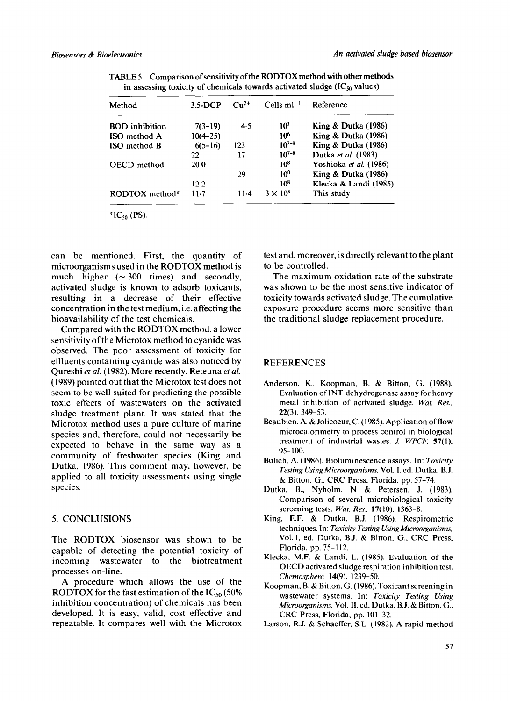| Method                     | $3.5-DCP$  | $\mathrm{Cu^{2+}}$ | Cells $ml^{-1}$ | Reference                      |
|----------------------------|------------|--------------------|-----------------|--------------------------------|
| <b>BOD</b> inhibition      | $7(3-19)$  | 4.5                | 10 <sup>3</sup> | <b>King &amp; Dutka (1986)</b> |
| ISO method A               | $10(4-25)$ |                    | 106             | King & Dutka (1986)            |
| ISO method B               | $6(5-16)$  | 123                | $10^{7-8}$      | King & Dutka (1986)            |
|                            | 22         | 17                 | $10^{7-8}$      | Dutka et al. (1983)            |
| <b>OECD</b> method         | $20-0$     |                    | 10 <sup>8</sup> | Yoshioka et al. (1986)         |
|                            |            | 29                 | 10 <sup>8</sup> | King & Dutka (1986)            |
|                            | 12.2       |                    | 10 <sup>8</sup> | Klecka & Landi (1985)          |
| RODTOX method <sup>a</sup> | 11.7       | 11.4               | $3 \times 10^8$ | This study                     |

TABLE 5 Comparison of sensitivity **of** the RODTOX method with other methods in assessing toxicity of chemicals towards activated sludge  $(IC_{50}$  values)

 ${}^a$ IC<sub>50</sub> (PS).

can be mentioned. First, the quantity of microorganisms used in the RODTOX method is much higher  $({\sim} 300$  times) and secondly, activated sludge is known to adsorb toxicants, resulting in a decrease of their effective concentration in the test medium, i.e. affecting the bioavailability of the test chemicals.

Compared with the RODTOX method, a lower sensitivity of the Microtox method to cyanide was observed. The poor assessment of toxicity for effluents containing cyanide was also noticed by Qureshi et *al.* (1982). More recently, Reteuna *et al.*  (1989) pointed out that the Microtox test does not seem to be well suited for predicting the possible toxic effects of wastewaters on the activated sludge treatment plant. It was stated that the Microtox method uses a pure culture of marine species and. therefore. could not necessarily be expected to behave in the same way as a community of freshwater species (King and Dutka, 1986). This comment may, however, be applied to all toxicity assessments using single species.

#### 5. CONCLUSIONS

The RODTOX biosensor was shown to be capable of detecting the potential toxicity of incoming wastewater to the biotreatment processes on-line.

A procedure which allows the use of the RODTOX for the fast estimation of the  $IC_{50}$  (50%) inhibition concentration) of chemicals has been developed. It is easy, valid, cost effective and repeatable. It compares well with the Microtox test and, moreover, is directly relevant to the plant to be controlled.

The maximum oxidation rate of the substrate was shown to be the most sensitive indicator of toxicity towards activated sludge. The cumulative exposure procedure seems more sensitive than the traditional sludge replacement procedure.

#### REFERENCES

- Anderson. K., Koopman. B. & Bitton. G. (1988). Evaluation of INT-dehydrogenase assay for heavy metal inhibition of activated sludge. *Wut. Res..*  22(3). 349-53.
- Beaubien. A. & Jolicoeur, C. (1985). Application of flow microcalorimetry to process control in biological treatment of industrial wastes. *J. WPCF*,  $57(1)$ , 95-100.
- Bulich, A. (1986). Bioluminescence assays. In: *Toxicity Testing UsingMicroorganisms.* Vol. I. ed. Dutka, B.J. & Bitton. G.. CRC Press, Florida. pp. 57-74.
- Dutka. B.. Nyholm. N & Petersen, J. (1983). Comparison of several microbiological toxicity screening tests. *Wut. Res..* 17(10), 1363-8.
- King. E.F. & Dutka, B.J. (1986). Respirometric techniques. In: *Toxicity Testing Using Microorganisms*, Vol. I. ed. Dutka. B.J. & Bitton. G., CRC Press. Florida. pp. 75-l 12.
- Klecka. M.F. & Landi. L. (1985). Evaluation of the OECD activated sludge respiration inhibition test. *Chemosphere.* 14(9). 1239-50.
- Koopman. B. & Bitton. G. (1986). Toxicant screening in wastewater systems. In: *Toxicity Testing Using Microorganisms, Vol. II, ed. Dutka, B.J. & Bitton, G.,* CRC Press, Florida. pp. 101-32.
- Larson. R.J. & Schaeffer, S.L. (1982). A rapid method